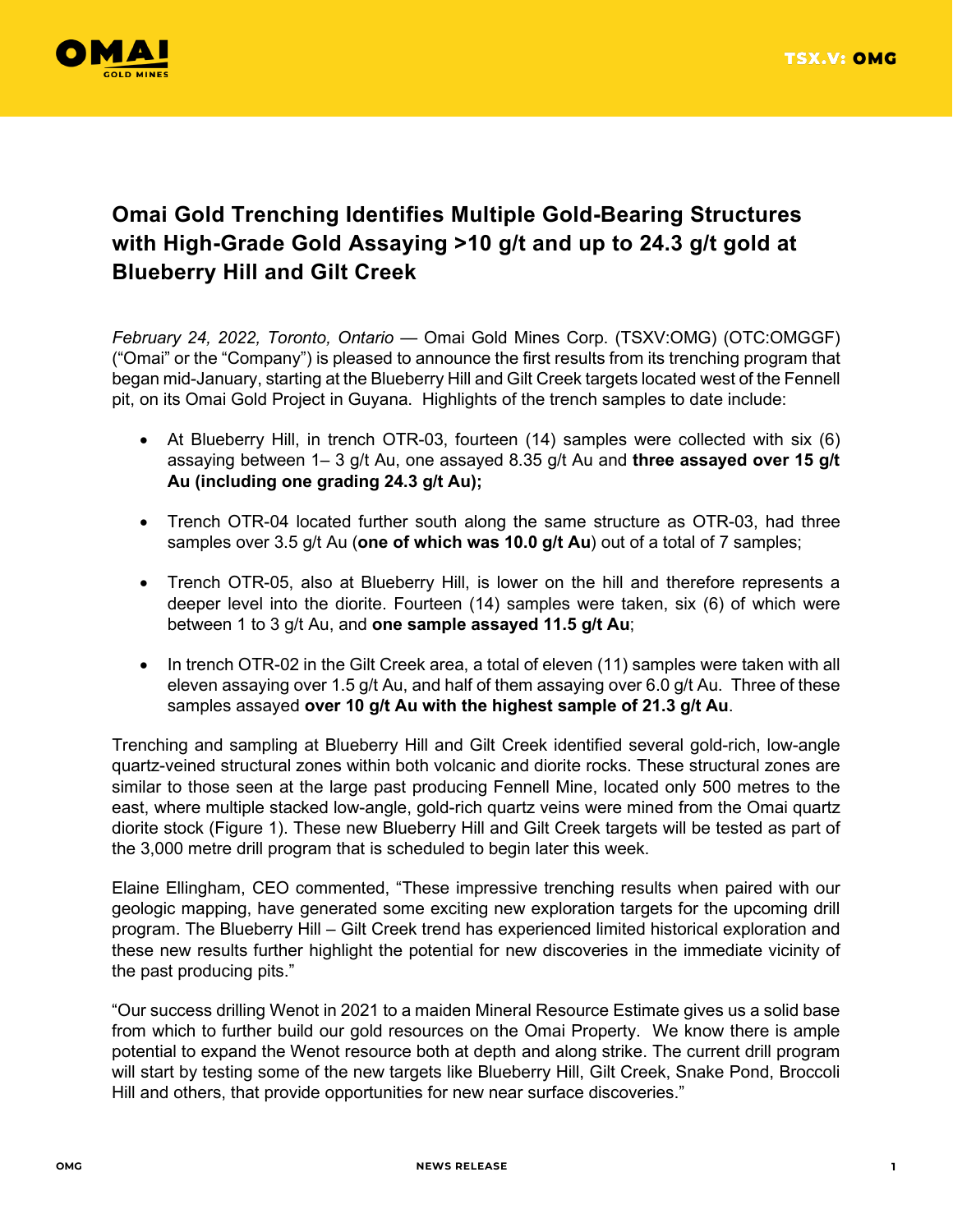

# **Omai Gold Trenching Identifies Multiple Gold-Bearing Structures with High-Grade Gold Assaying >10 g/t and up to 24.3 g/t gold at Blueberry Hill and Gilt Creek**

*February 24, 2022, Toronto, Ontario* — Omai Gold Mines Corp. (TSXV:OMG) (OTC:OMGGF) ("Omai" or the "Company") is pleased to announce the first results from its trenching program that began mid-January, starting at the Blueberry Hill and Gilt Creek targets located west of the Fennell pit, on its Omai Gold Project in Guyana. Highlights of the trench samples to date include:

- At Blueberry Hill, in trench OTR-03, fourteen (14) samples were collected with six (6) assaying between 1– 3 g/t Au, one assayed 8.35 g/t Au and **three assayed over 15 g/t Au (including one grading 24.3 g/t Au);**
- Trench OTR-04 located further south along the same structure as OTR-03, had three samples over 3.5 g/t Au (**one of which was 10.0 g/t Au**) out of a total of 7 samples;
- Trench OTR-05, also at Blueberry Hill, is lower on the hill and therefore represents a deeper level into the diorite. Fourteen (14) samples were taken, six (6) of which were between 1 to 3 g/t Au, and **one sample assayed 11.5 g/t Au**;
- In trench OTR-02 in the Gilt Creek area, a total of eleven (11) samples were taken with all eleven assaying over 1.5 g/t Au, and half of them assaying over 6.0 g/t Au. Three of these samples assayed **over 10 g/t Au with the highest sample of 21.3 g/t Au**.

Trenching and sampling at Blueberry Hill and Gilt Creek identified several gold-rich, low-angle quartz-veined structural zones within both volcanic and diorite rocks. These structural zones are similar to those seen at the large past producing Fennell Mine, located only 500 metres to the east, where multiple stacked low-angle, gold-rich quartz veins were mined from the Omai quartz diorite stock (Figure 1). These new Blueberry Hill and Gilt Creek targets will be tested as part of the 3,000 metre drill program that is scheduled to begin later this week.

Elaine Ellingham, CEO commented, "These impressive trenching results when paired with our geologic mapping, have generated some exciting new exploration targets for the upcoming drill program. The Blueberry Hill – Gilt Creek trend has experienced limited historical exploration and these new results further highlight the potential for new discoveries in the immediate vicinity of the past producing pits."

"Our success drilling Wenot in 2021 to a maiden Mineral Resource Estimate gives us a solid base from which to further build our gold resources on the Omai Property. We know there is ample potential to expand the Wenot resource both at depth and along strike. The current drill program will start by testing some of the new targets like Blueberry Hill, Gilt Creek, Snake Pond, Broccoli Hill and others, that provide opportunities for new near surface discoveries."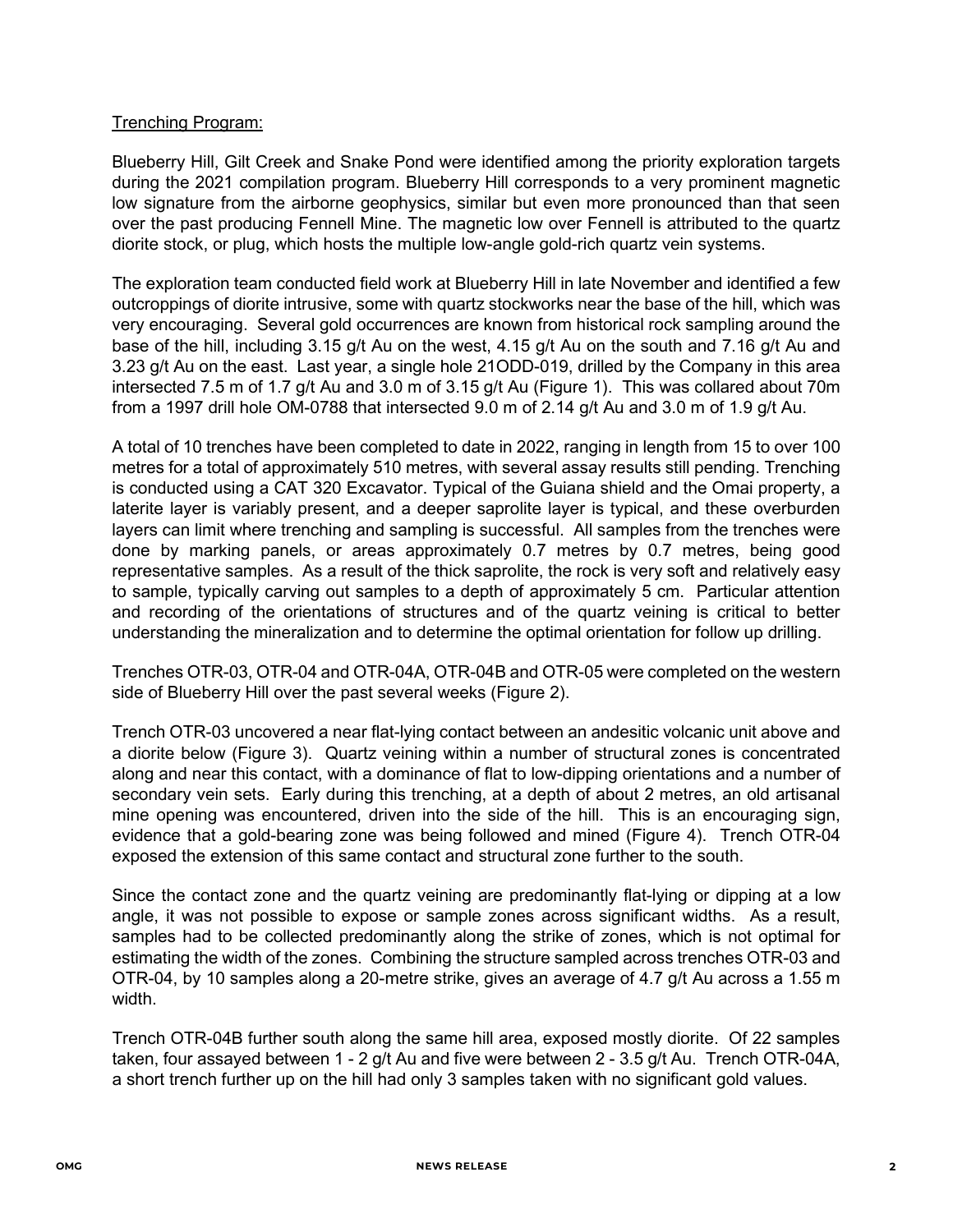### Trenching Program:

Blueberry Hill, Gilt Creek and Snake Pond were identified among the priority exploration targets during the 2021 compilation program. Blueberry Hill corresponds to a very prominent magnetic low signature from the airborne geophysics, similar but even more pronounced than that seen over the past producing Fennell Mine. The magnetic low over Fennell is attributed to the quartz diorite stock, or plug, which hosts the multiple low-angle gold-rich quartz vein systems.

The exploration team conducted field work at Blueberry Hill in late November and identified a few outcroppings of diorite intrusive, some with quartz stockworks near the base of the hill, which was very encouraging. Several gold occurrences are known from historical rock sampling around the base of the hill, including 3.15 g/t Au on the west, 4.15 g/t Au on the south and 7.16 g/t Au and 3.23 g/t Au on the east. Last year, a single hole 21ODD-019, drilled by the Company in this area intersected 7.5 m of 1.7 g/t Au and 3.0 m of 3.15 g/t Au (Figure 1). This was collared about 70m from a 1997 drill hole OM-0788 that intersected 9.0 m of 2.14 g/t Au and 3.0 m of 1.9 g/t Au.

A total of 10 trenches have been completed to date in 2022, ranging in length from 15 to over 100 metres for a total of approximately 510 metres, with several assay results still pending. Trenching is conducted using a CAT 320 Excavator. Typical of the Guiana shield and the Omai property, a laterite layer is variably present, and a deeper saprolite layer is typical, and these overburden layers can limit where trenching and sampling is successful. All samples from the trenches were done by marking panels, or areas approximately 0.7 metres by 0.7 metres, being good representative samples. As a result of the thick saprolite, the rock is very soft and relatively easy to sample, typically carving out samples to a depth of approximately 5 cm. Particular attention and recording of the orientations of structures and of the quartz veining is critical to better understanding the mineralization and to determine the optimal orientation for follow up drilling.

Trenches OTR-03, OTR-04 and OTR-04A, OTR-04B and OTR-05 were completed on the western side of Blueberry Hill over the past several weeks (Figure 2).

Trench OTR-03 uncovered a near flat-lying contact between an andesitic volcanic unit above and a diorite below (Figure 3). Quartz veining within a number of structural zones is concentrated along and near this contact, with a dominance of flat to low-dipping orientations and a number of secondary vein sets. Early during this trenching, at a depth of about 2 metres, an old artisanal mine opening was encountered, driven into the side of the hill. This is an encouraging sign, evidence that a gold-bearing zone was being followed and mined (Figure 4). Trench OTR-04 exposed the extension of this same contact and structural zone further to the south.

Since the contact zone and the quartz veining are predominantly flat-lying or dipping at a low angle, it was not possible to expose or sample zones across significant widths. As a result, samples had to be collected predominantly along the strike of zones, which is not optimal for estimating the width of the zones. Combining the structure sampled across trenches OTR-03 and OTR-04, by 10 samples along a 20-metre strike, gives an average of 4.7 g/t Au across a 1.55 m width.

Trench OTR-04B further south along the same hill area, exposed mostly diorite. Of 22 samples taken, four assayed between 1 - 2 g/t Au and five were between 2 - 3.5 g/t Au. Trench OTR-04A, a short trench further up on the hill had only 3 samples taken with no significant gold values.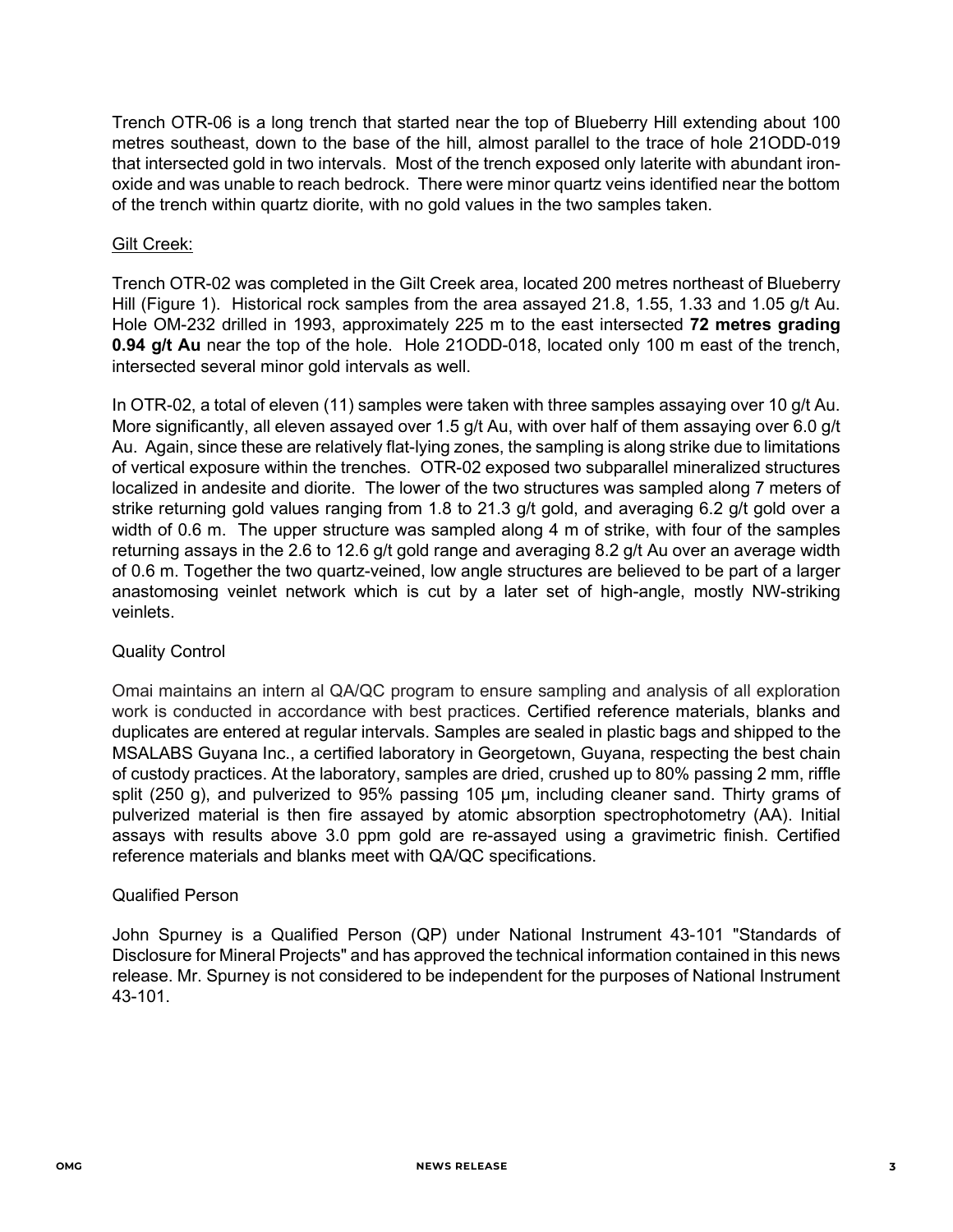Trench OTR-06 is a long trench that started near the top of Blueberry Hill extending about 100 metres southeast, down to the base of the hill, almost parallel to the trace of hole 21ODD-019 that intersected gold in two intervals. Most of the trench exposed only laterite with abundant ironoxide and was unable to reach bedrock. There were minor quartz veins identified near the bottom of the trench within quartz diorite, with no gold values in the two samples taken.

## Gilt Creek:

Trench OTR-02 was completed in the Gilt Creek area, located 200 metres northeast of Blueberry Hill (Figure 1). Historical rock samples from the area assayed 21.8, 1.55, 1.33 and 1.05 g/t Au. Hole OM-232 drilled in 1993, approximately 225 m to the east intersected **72 metres grading 0.94 g/t Au** near the top of the hole. Hole 21ODD-018, located only 100 m east of the trench, intersected several minor gold intervals as well.

In OTR-02, a total of eleven (11) samples were taken with three samples assaying over 10 g/t Au. More significantly, all eleven assayed over 1.5 g/t Au, with over half of them assaying over 6.0 g/t Au. Again, since these are relatively flat-lying zones, the sampling is along strike due to limitations of vertical exposure within the trenches. OTR-02 exposed two subparallel mineralized structures localized in andesite and diorite. The lower of the two structures was sampled along 7 meters of strike returning gold values ranging from 1.8 to 21.3 g/t gold, and averaging 6.2 g/t gold over a width of 0.6 m. The upper structure was sampled along 4 m of strike, with four of the samples returning assays in the 2.6 to 12.6 g/t gold range and averaging 8.2 g/t Au over an average width of 0.6 m. Together the two quartz-veined, low angle structures are believed to be part of a larger anastomosing veinlet network which is cut by a later set of high-angle, mostly NW-striking veinlets.

#### Quality Control

Omai maintains an intern al QA/QC program to ensure sampling and analysis of all exploration work is conducted in accordance with best practices. Certified reference materials, blanks and duplicates are entered at regular intervals. Samples are sealed in plastic bags and shipped to the MSALABS Guyana Inc., a certified laboratory in Georgetown, Guyana, respecting the best chain of custody practices. At the laboratory, samples are dried, crushed up to 80% passing 2 mm, riffle split (250 g), and pulverized to 95% passing 105 μm, including cleaner sand. Thirty grams of pulverized material is then fire assayed by atomic absorption spectrophotometry (AA). Initial assays with results above 3.0 ppm gold are re-assayed using a gravimetric finish. Certified reference materials and blanks meet with QA/QC specifications.

#### Qualified Person

John Spurney is a Qualified Person (QP) under National Instrument 43-101 "Standards of Disclosure for Mineral Projects" and has approved the technical information contained in this news release. Mr. Spurney is not considered to be independent for the purposes of National Instrument 43-101.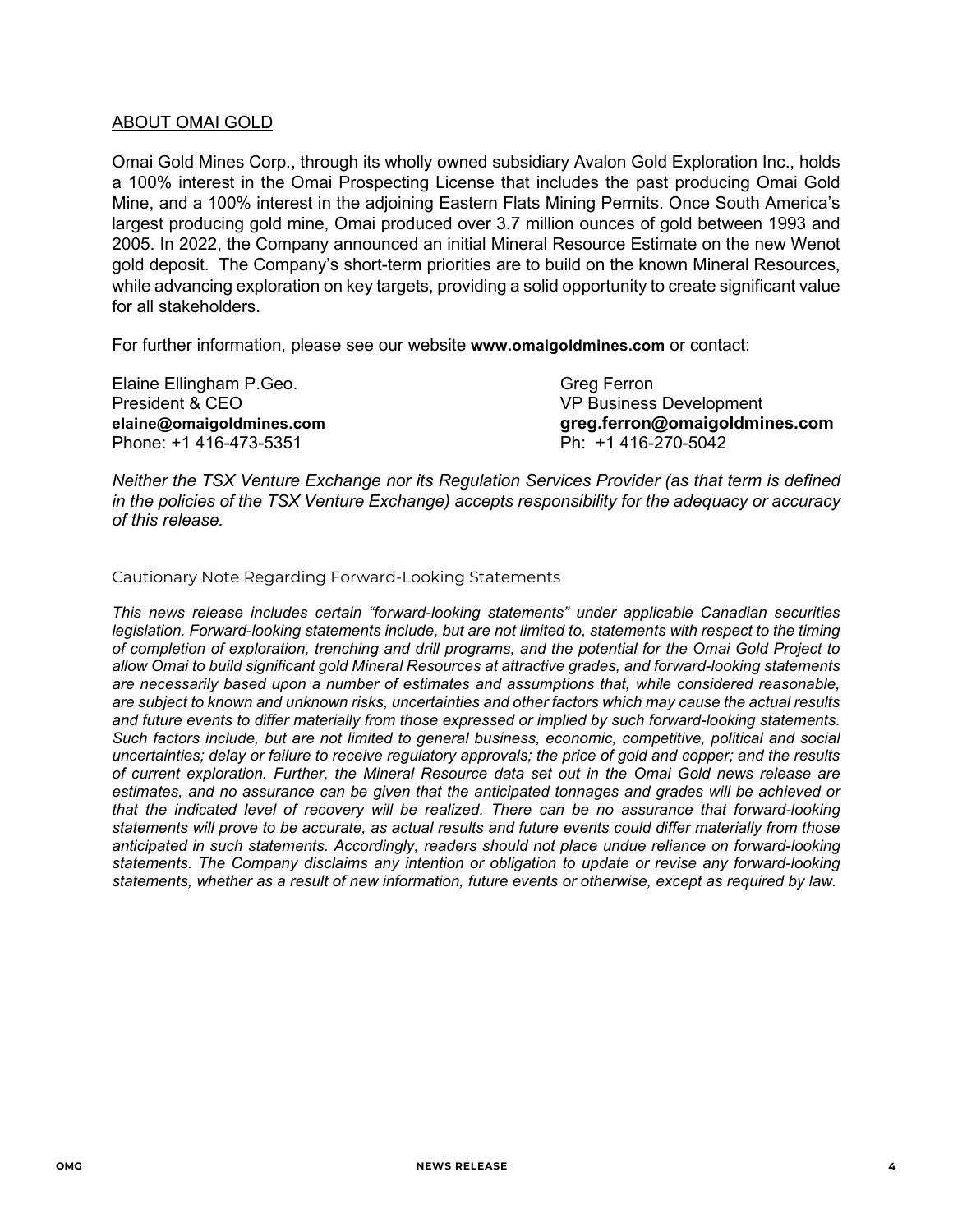#### ABOUT OMAI GOLD

Omai Gold Mines Corp., through its wholly owned subsidiary Avalon Gold Exploration Inc., holds a 100% interest in the Omai Prospecting License that includes the past producing Omai Gold Mine, and a 100% interest in the adjoining Eastern Flats Mining Permits. Once South America's largest producing gold mine, Omai produced over 3.7 million ounces of gold between 1993 and 2005. In 2022, the Company announced an initial Mineral Resource Estimate on the new Wenot gold deposit. The Company's short-term priorities are to build on the known Mineral Resources, while advancing exploration on key targets, providing a solid opportunity to create significant value for all stakeholders.

For further information, please see our website **[www.omaigoldmines.com](http://www.omaigoldmines.com/)** or contact:

Elaine Ellingham P.Geo. Greg Ferron President & CEO VP Business Development Phone: +1 416-473-5351 Ph: +1 416-270-5042

**[elaine@omaigoldmines.com](mailto:elaine@omaigoldmines.com) greg.ferron@omaigoldmines.com**

*Neither the TSX Venture Exchange nor its Regulation Services Provider (as that term is defined in the policies of the TSX Venture Exchange) accepts responsibility for the adequacy or accuracy of this release.*

Cautionary Note Regarding Forward-Looking Statements

*This news release includes certain "forward-looking statements" under applicable Canadian securities legislation. Forward-looking statements include, but are not limited to, statements with respect to the timing of completion of exploration, trenching and drill programs, and the potential for the Omai Gold Project to allow Omai to build significant gold Mineral Resources at attractive grades, and forward-looking statements are necessarily based upon a number of estimates and assumptions that, while considered reasonable, are subject to known and unknown risks, uncertainties and other factors which may cause the actual results and future events to differ materially from those expressed or implied by such forward-looking statements. Such factors include, but are not limited to general business, economic, competitive, political and social uncertainties; delay or failure to receive regulatory approvals; the price of gold and copper; and the results of current exploration. Further, the Mineral Resource data set out in the Omai Gold news release are estimates, and no assurance can be given that the anticipated tonnages and grades will be achieved or that the indicated level of recovery will be realized. There can be no assurance that forward-looking statements will prove to be accurate, as actual results and future events could differ materially from those anticipated in such statements. Accordingly, readers should not place undue reliance on forward-looking statements. The Company disclaims any intention or obligation to update or revise any forward-looking statements, whether as a result of new information, future events or otherwise, except as required by law.*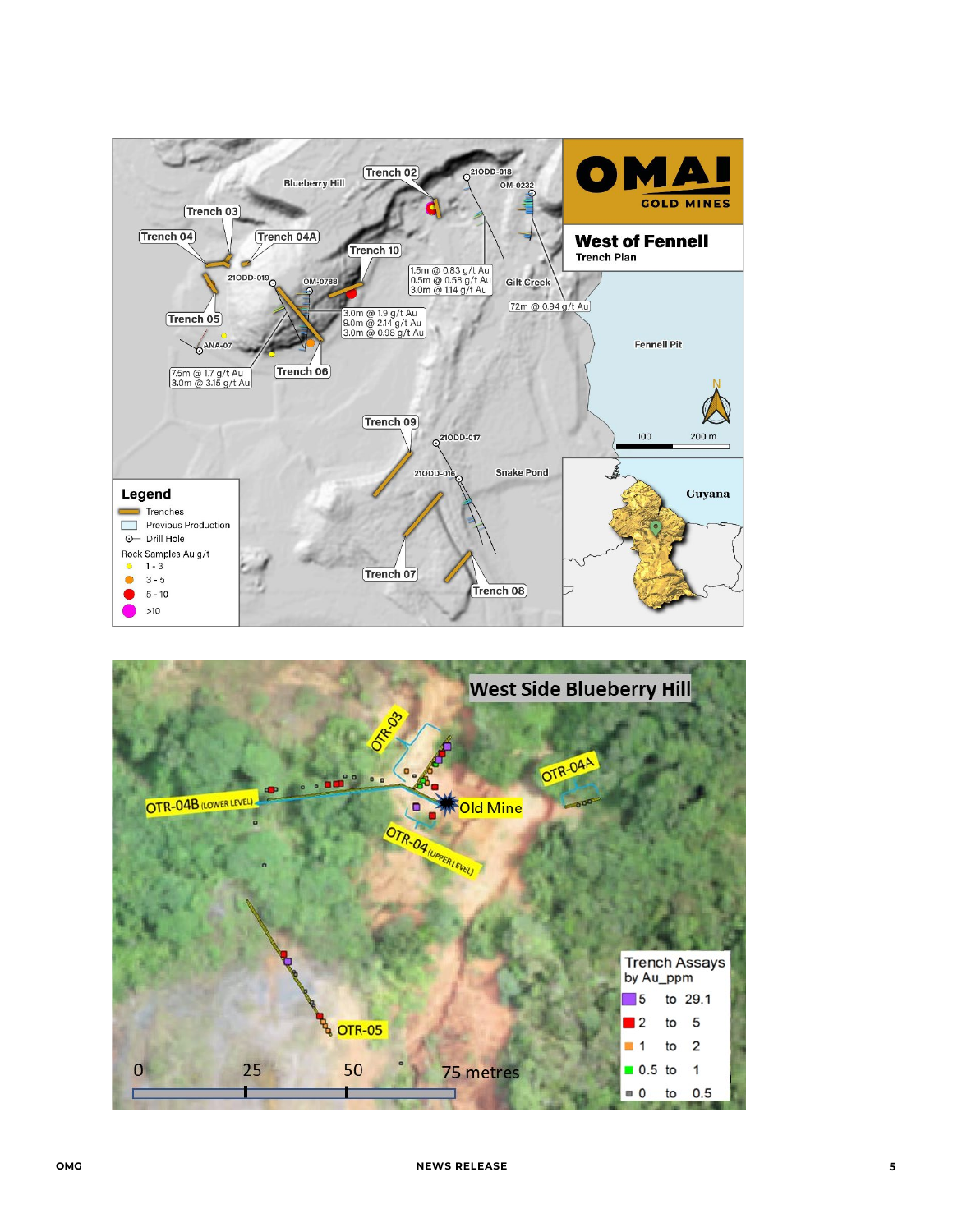